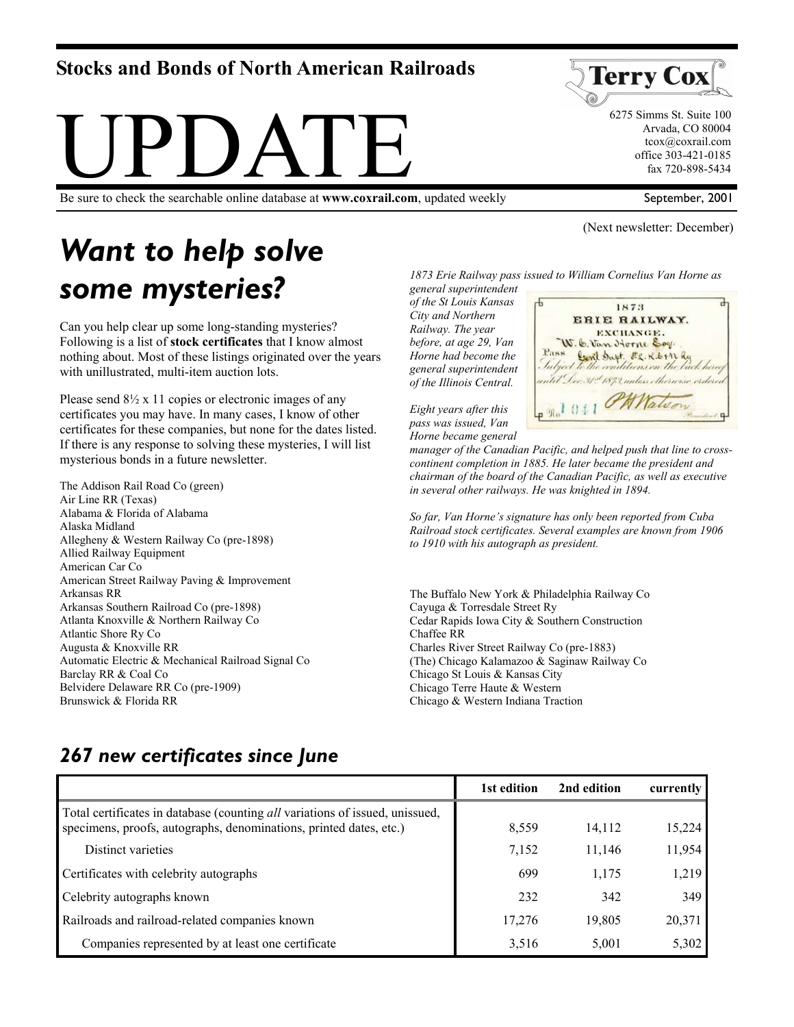# **Stocks and Bonds of North American Railroads**



Be sure to check the searchable online database at **www.coxrail.com**, updated weekly

# *Want to help solve some mysteries?*

Can you help clear up some long-standing mysteries? Following is a list of **stock certificates** that I know almost nothing about. Most of these listings originated over the years with unillustrated, multi-item auction lots.

Please send  $8\frac{1}{2}$  x 11 copies or electronic images of any certificates you may have. In many cases, I know of other certificates for these companies, but none for the dates listed. If there is any response to solving these mysteries, I will list mysterious bonds in a future newsletter.

The Addison Rail Road Co (green) Air Line RR (Texas) Alabama & Florida of Alabama Alaska Midland Allegheny & Western Railway Co (pre-1898) Allied Railway Equipment American Car Co American Street Railway Paving & Improvement Arkansas RR Arkansas Southern Railroad Co (pre-1898) Atlanta Knoxville & Northern Railway Co Atlantic Shore Ry Co Augusta & Knoxville RR Automatic Electric & Mechanical Railroad Signal Co Barclay RR & Coal Co Belvidere Delaware RR Co (pre-1909) Brunswick & Florida RR

*1873 Erie Railway pass issued to William Cornelius Van Horne as* 

*general superintendent of the St Louis Kansas City and Northern Railway. The year before, at age 29, Van Horne had become the general superintendent of the Illinois Central.* 



1873

*Eight years after this pass was issued, Van Horne became general* 

*manager of the Canadian Pacific, and helped push that line to crosscontinent completion in 1885. He later became the president and chairman of the board of the Canadian Pacific, as well as executive in several other railways. He was knighted in 1894.* 

*So far, Van Horne's signature has only been reported from Cuba Railroad stock certificates. Several examples are known from 1906 to 1910 with his autograph as president.* 

The Buffalo New York & Philadelphia Railway Co Cayuga & Torresdale Street Ry Cedar Rapids Iowa City & Southern Construction Chaffee RR Charles River Street Railway Co (pre-1883) (The) Chicago Kalamazoo & Saginaw Railway Co Chicago St Louis & Kansas City Chicago Terre Haute & Western Chicago & Western Indiana Traction

# *267 new certificates since June*

|                                                                                                                                                           | 1st edition | 2nd edition | currently |
|-----------------------------------------------------------------------------------------------------------------------------------------------------------|-------------|-------------|-----------|
| Total certificates in database (counting <i>all</i> variations of issued, unissued,<br>specimens, proofs, autographs, denominations, printed dates, etc.) | 8,559       | 14,112      | 15,224    |
| Distinct varieties                                                                                                                                        | 7,152       | 11,146      | 11,954    |
| Certificates with celebrity autographs                                                                                                                    | 699         | 1,175       | 1,219     |
| Celebrity autographs known                                                                                                                                | 232         | 342         | 349       |
| Railroads and railroad-related companies known                                                                                                            | 17,276      | 19,805      | 20,371    |
| Companies represented by at least one certificate                                                                                                         | 3,516       | 5,001       | 5,302     |



 6275 Simms St. Suite 100 Arvada, CO 80004 tcox@coxrail.com office 303-421-0185 fax 720-898-5434

September, 2001

(Next newsletter: December)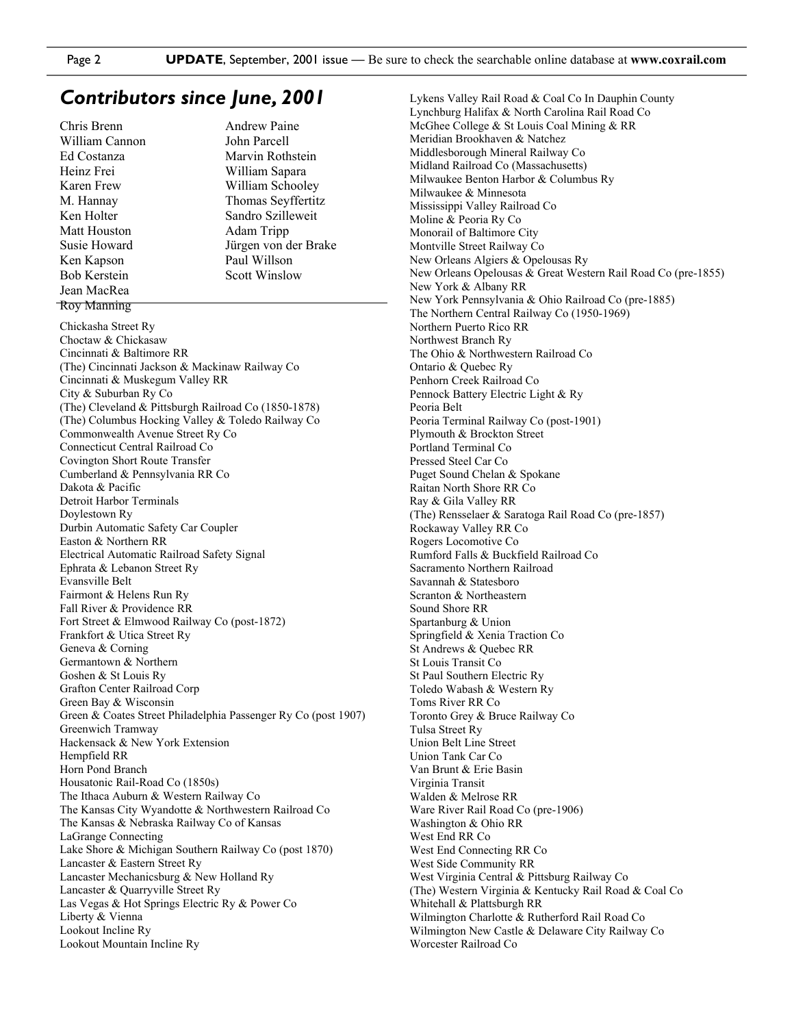#### *Contributors since June, 2001*

Chris Brenn William Cannon Ed Costanza Heinz Frei Karen Frew M. Hannay Ken Holter Matt Houston Susie Howard Ken Kapson Bob Kerstein Jean MacRea Roy Manning

Andrew Paine John Parcell Marvin Rothstein William Sapara William Schooley Thomas Seyffertitz Sandro Szilleweit Adam Tripp Jürgen von der Brake Paul Willson Scott Winslow

Chickasha Street Ry Choctaw & Chickasaw Cincinnati & Baltimore RR (The) Cincinnati Jackson & Mackinaw Railway Co Cincinnati & Muskegum Valley RR City & Suburban Ry Co (The) Cleveland & Pittsburgh Railroad Co (1850-1878) (The) Columbus Hocking Valley & Toledo Railway Co Commonwealth Avenue Street Ry Co Connecticut Central Railroad Co Covington Short Route Transfer Cumberland & Pennsylvania RR Co Dakota & Pacific Detroit Harbor Terminals Doylestown Ry Durbin Automatic Safety Car Coupler Easton & Northern RR Electrical Automatic Railroad Safety Signal Ephrata & Lebanon Street Ry Evansville Belt Fairmont & Helens Run Ry Fall River & Providence RR Fort Street & Elmwood Railway Co (post-1872) Frankfort & Utica Street Ry Geneva & Corning Germantown & Northern Goshen & St Louis Ry Grafton Center Railroad Corp Green Bay & Wisconsin Green & Coates Street Philadelphia Passenger Ry Co (post 1907) Greenwich Tramway Hackensack & New York Extension Hempfield RR Horn Pond Branch Housatonic Rail-Road Co (1850s) The Ithaca Auburn & Western Railway Co The Kansas City Wyandotte & Northwestern Railroad Co The Kansas & Nebraska Railway Co of Kansas LaGrange Connecting Lake Shore & Michigan Southern Railway Co (post 1870) Lancaster & Eastern Street Ry Lancaster Mechanicsburg & New Holland Ry Lancaster & Quarryville Street Ry Las Vegas & Hot Springs Electric Ry & Power Co Liberty & Vienna Lookout Incline Ry Lookout Mountain Incline Ry

Lykens Valley Rail Road & Coal Co In Dauphin County Lynchburg Halifax & North Carolina Rail Road Co McGhee College & St Louis Coal Mining & RR Meridian Brookhaven & Natchez Middlesborough Mineral Railway Co Midland Railroad Co (Massachusetts) Milwaukee Benton Harbor & Columbus Ry Milwaukee & Minnesota Mississippi Valley Railroad Co Moline & Peoria Ry Co Monorail of Baltimore City Montville Street Railway Co New Orleans Algiers & Opelousas Ry New Orleans Opelousas & Great Western Rail Road Co (pre-1855) New York & Albany RR New York Pennsylvania & Ohio Railroad Co (pre-1885) The Northern Central Railway Co (1950-1969) Northern Puerto Rico RR Northwest Branch Ry The Ohio & Northwestern Railroad Co Ontario & Quebec Ry Penhorn Creek Railroad Co Pennock Battery Electric Light & Ry Peoria Belt Peoria Terminal Railway Co (post-1901) Plymouth & Brockton Street Portland Terminal Co Pressed Steel Car Co Puget Sound Chelan & Spokane Raitan North Shore RR Co Ray & Gila Valley RR (The) Rensselaer & Saratoga Rail Road Co (pre-1857) Rockaway Valley RR Co Rogers Locomotive Co Rumford Falls & Buckfield Railroad Co Sacramento Northern Railroad Savannah & Statesboro Scranton & Northeastern Sound Shore RR Spartanburg & Union Springfield & Xenia Traction Co St Andrews & Quebec RR St Louis Transit Co St Paul Southern Electric Ry Toledo Wabash & Western Ry Toms River RR Co Toronto Grey & Bruce Railway Co Tulsa Street Ry Union Belt Line Street Union Tank Car Co Van Brunt & Erie Basin Virginia Transit Walden & Melrose RR Ware River Rail Road Co (pre-1906) Washington & Ohio RR West End RR Co West End Connecting RR Co West Side Community RR West Virginia Central & Pittsburg Railway Co (The) Western Virginia & Kentucky Rail Road & Coal Co Whitehall & Plattsburgh RR Wilmington Charlotte & Rutherford Rail Road Co Wilmington New Castle & Delaware City Railway Co Worcester Railroad Co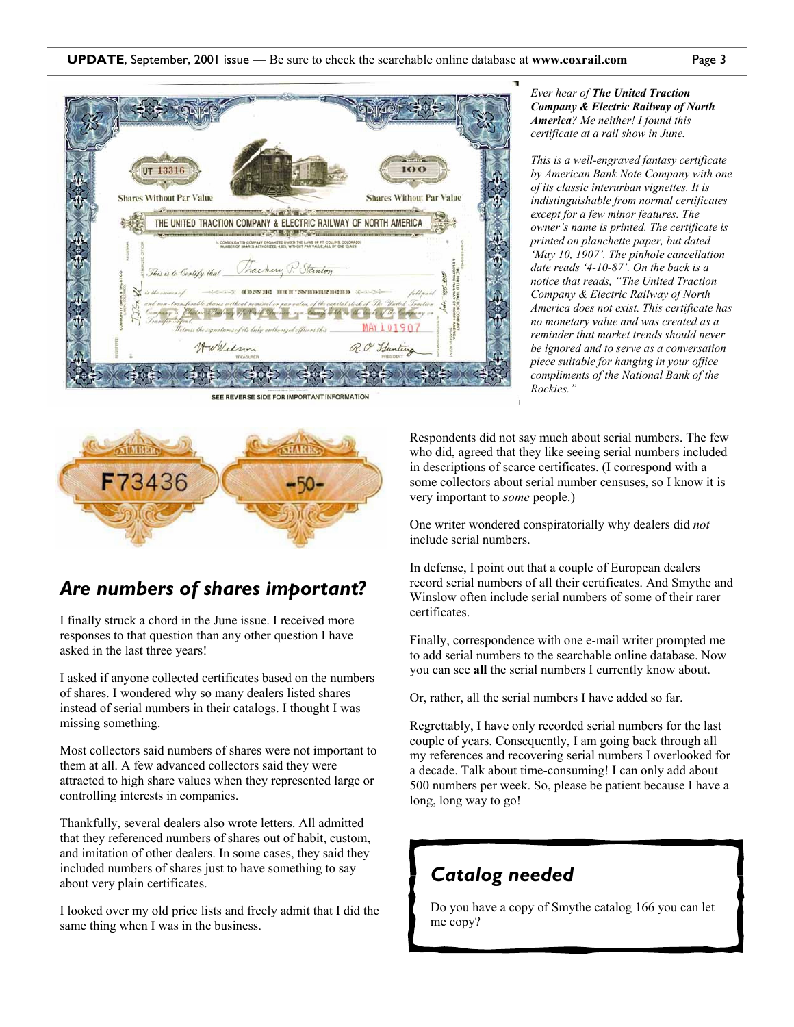

SEE REVERSE SIDE FOR IMPORTANT INFORMATION



# *Are numbers of shares important?*

I finally struck a chord in the June issue. I received more responses to that question than any other question I have asked in the last three years!

I asked if anyone collected certificates based on the numbers of shares. I wondered why so many dealers listed shares instead of serial numbers in their catalogs. I thought I was missing something.

Most collectors said numbers of shares were not important to them at all. A few advanced collectors said they were attracted to high share values when they represented large or controlling interests in companies.

Thankfully, several dealers also wrote letters. All admitted that they referenced numbers of shares out of habit, custom, and imitation of other dealers. In some cases, they said they included numbers of shares just to have something to say about very plain certificates.

I looked over my old price lists and freely admit that I did the same thing when I was in the business.

#### *Ever hear of The United Traction Company & Electric Railway of North America? Me neither! I found this certificate at a rail show in June.*

*This is a well-engraved fantasy certificate by American Bank Note Company with one of its classic interurban vignettes. It is indistinguishable from normal certificates except for a few minor features. The owner's name is printed. The certificate is printed on planchette paper, but dated 'May 10, 1907'. The pinhole cancellation date reads '4-10-87'. On the back is a notice that reads, "The United Traction Company & Electric Railway of North America does not exist. This certificate has no monetary value and was created as a reminder that market trends should never be ignored and to serve as a conversation piece suitable for hanging in your office compliments of the National Bank of the Rockies."* 

Respondents did not say much about serial numbers. The few who did, agreed that they like seeing serial numbers included in descriptions of scarce certificates. (I correspond with a some collectors about serial number censuses, so I know it is very important to *some* people.)

One writer wondered conspiratorially why dealers did *not* include serial numbers.

In defense, I point out that a couple of European dealers record serial numbers of all their certificates. And Smythe and Winslow often include serial numbers of some of their rarer certificates.

Finally, correspondence with one e-mail writer prompted me to add serial numbers to the searchable online database. Now you can see **all** the serial numbers I currently know about.

Or, rather, all the serial numbers I have added so far.

Regrettably, I have only recorded serial numbers for the last couple of years. Consequently, I am going back through all my references and recovering serial numbers I overlooked for a decade. Talk about time-consuming! I can only add about 500 numbers per week. So, please be patient because I have a long, long way to go!

# *Catalog needed*

Do you have a copy of Smythe catalog 166 you can let me copy?